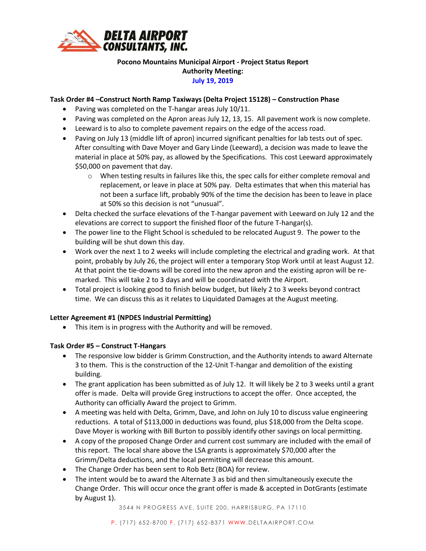

# **Pocono Mountains Municipal Airport - Project Status Report Authority Meeting: July 19, 2019**

# **Task Order #4 –Construct North Ramp Taxiways (Delta Project 15128) – Construction Phase**

- Paving was completed on the T-hangar areas July 10/11.
- Paving was completed on the Apron areas July 12, 13, 15. All pavement work is now complete.
- Leeward is to also to complete pavement repairs on the edge of the access road.
- Paving on July 13 (middle lift of apron) incurred significant penalties for lab tests out of spec. After consulting with Dave Moyer and Gary Linde (Leeward), a decision was made to leave the material in place at 50% pay, as allowed by the Specifications. This cost Leeward approximately \$50,000 on pavement that day.
	- $\circ$  When testing results in failures like this, the spec calls for either complete removal and replacement, or leave in place at 50% pay. Delta estimates that when this material has not been a surface lift, probably 90% of the time the decision has been to leave in place at 50% so this decision is not "unusual".
- Delta checked the surface elevations of the T-hangar pavement with Leeward on July 12 and the elevations are correct to support the finished floor of the future T-hangar(s).
- The power line to the Flight School is scheduled to be relocated August 9. The power to the building will be shut down this day.
- Work over the next 1 to 2 weeks will include completing the electrical and grading work. At that point, probably by July 26, the project will enter a temporary Stop Work until at least August 12. At that point the tie-downs will be cored into the new apron and the existing apron will be remarked. This will take 2 to 3 days and will be coordinated with the Airport.
- Total project is looking good to finish below budget, but likely 2 to 3 weeks beyond contract time. We can discuss this as it relates to Liquidated Damages at the August meeting.

## **Letter Agreement #1 (NPDES Industrial Permitting)**

• This item is in progress with the Authority and will be removed.

## **Task Order #5 – Construct T-Hangars**

- The responsive low bidder is Grimm Construction, and the Authority intends to award Alternate 3 to them. This is the construction of the 12-Unit T-hangar and demolition of the existing building.
- The grant application has been submitted as of July 12. It will likely be 2 to 3 weeks until a grant offer is made. Delta will provide Greg instructions to accept the offer. Once accepted, the Authority can officially Award the project to Grimm.
- A meeting was held with Delta, Grimm, Dave, and John on July 10 to discuss value engineering reductions. A total of \$113,000 in deductions was found, plus \$18,000 from the Delta scope. Dave Moyer is working with Bill Burton to possibly identify other savings on local permitting.
- A copy of the proposed Change Order and current cost summary are included with the email of this report. The local share above the LSA grants is approximately \$70,000 after the Grimm/Delta deductions, and the local permitting will decrease this amount.
- The Change Order has been sent to Rob Betz (BOA) for review.
- The intent would be to award the Alternate 3 as bid and then simultaneously execute the Change Order. This will occur once the grant offer is made & accepted in DotGrants (estimate by August 1).

3544 N PROGRESS AVE, SUITE 200, HARRISBURG, PA 17110